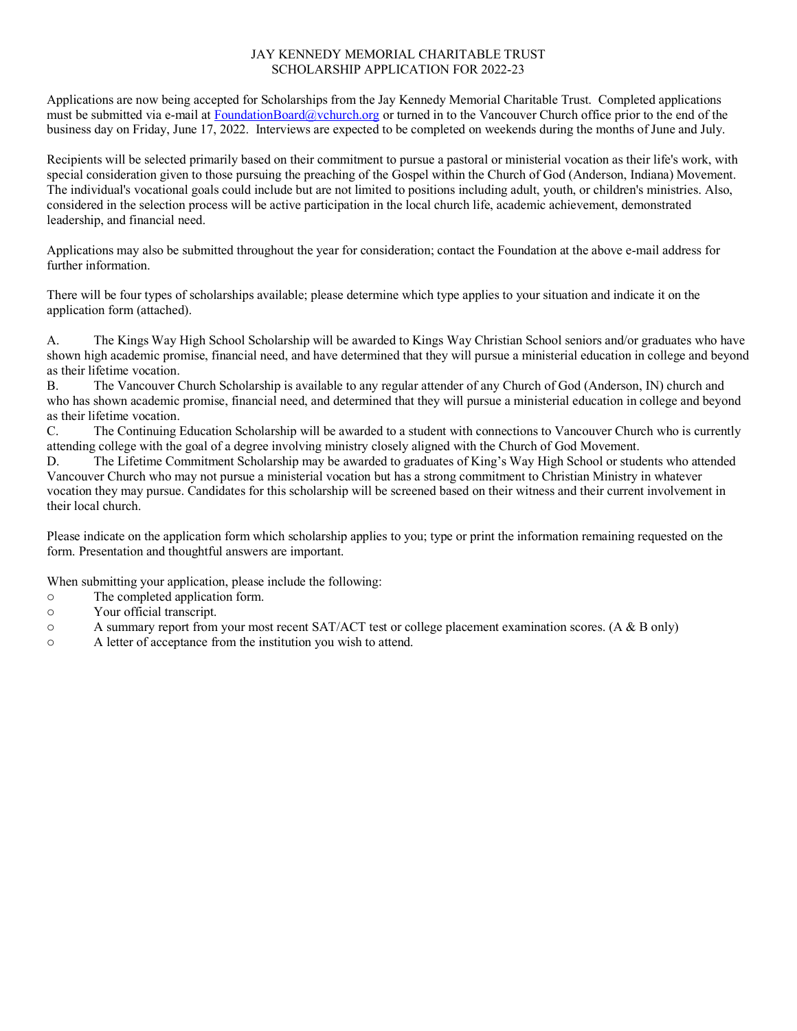## JAY KENNEDY MEMORIAL CHARITABLE TRUST SCHOLARSHIP APPLICATION FOR 2022-23

Applications are now being accepted for Scholarships from the Jay Kennedy Memorial Charitable Trust. Completed applications must be submitted via e-mail at FoundationBoard@vchurch.org or turned in to the Vancouver Church office prior to the end of the business day on Friday, June 17, 2022. Interviews are expected to be completed on weekends during the months of June and July.

Recipients will be selected primarily based on their commitment to pursue a pastoral or ministerial vocation as their life's work, with special consideration given to those pursuing the preaching of the Gospel within the Church of God (Anderson, Indiana) Movement. The individual's vocational goals could include but are not limited to positions including adult, youth, or children's ministries. Also, considered in the selection process will be active participation in the local church life, academic achievement, demonstrated leadership, and financial need.

Applications may also be submitted throughout the year for consideration; contact the Foundation at the above e-mail address for further information.

There will be four types of scholarships available; please determine which type applies to your situation and indicate it on the application form (attached).

A. The Kings Way High School Scholarship will be awarded to Kings Way Christian School seniors and/or graduates who have shown high academic promise, financial need, and have determined that they will pursue a ministerial education in college and beyond as their lifetime vocation.

B. The Vancouver Church Scholarship is available to any regular attender of any Church of God (Anderson, IN) church and who has shown academic promise, financial need, and determined that they will pursue a ministerial education in college and beyond as their lifetime vocation.

C. The Continuing Education Scholarship will be awarded to a student with connections to Vancouver Church who is currently attending college with the goal of a degree involving ministry closely aligned with the Church of God Movement.

D. The Lifetime Commitment Scholarship may be awarded to graduates of King's Way High School or students who attended Vancouver Church who may not pursue a ministerial vocation but has a strong commitment to Christian Ministry in whatever vocation they may pursue. Candidates for this scholarship will be screened based on their witness and their current involvement in their local church.

Please indicate on the application form which scholarship applies to you; type or print the information remaining requested on the form. Presentation and thoughtful answers are important.

When submitting your application, please include the following:

- o The completed application form.
- o Your official transcript.
- o A summary report from your most recent SAT/ACT test or college placement examination scores. (A & B only)
- o A letter of acceptance from the institution you wish to attend.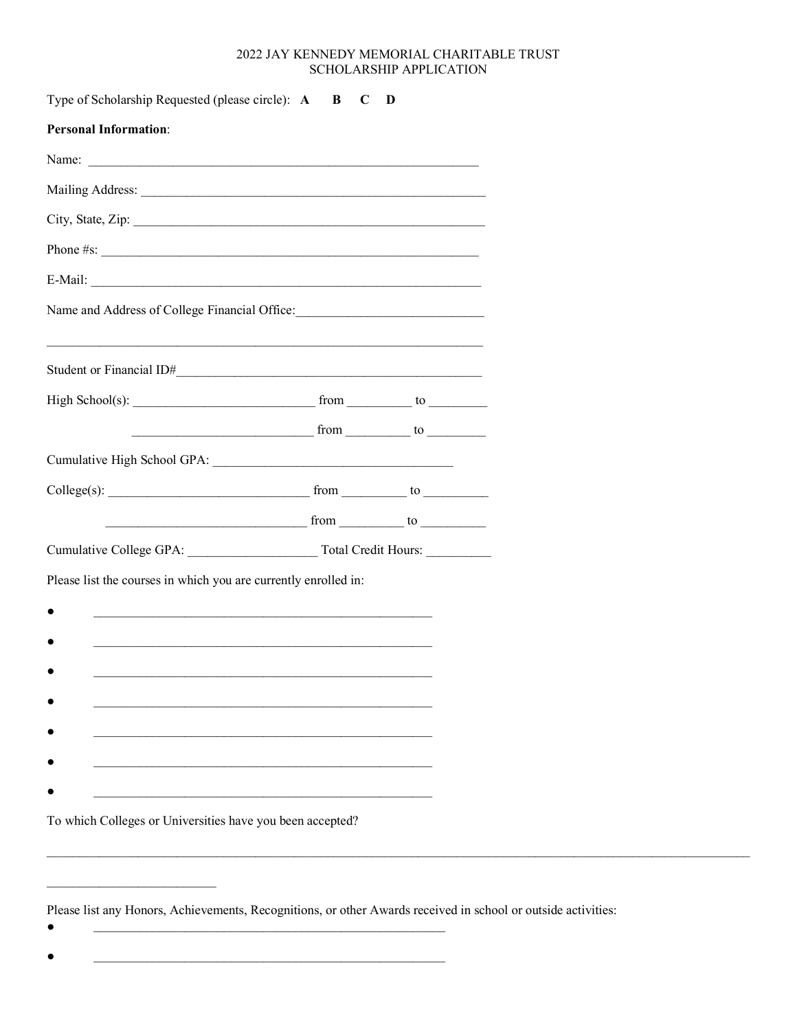## 2022 JAY KENNEDY MEMORIAL CHARITABLE TRUST SCHOLARSHIP APPLICATION

| Type of Scholarship Requested (please circle): A                                 | $\bf{B}$<br>C                                     | D |  |
|----------------------------------------------------------------------------------|---------------------------------------------------|---|--|
| <b>Personal Information:</b>                                                     |                                                   |   |  |
|                                                                                  |                                                   |   |  |
|                                                                                  |                                                   |   |  |
| City, State, Zip:                                                                |                                                   |   |  |
| Phone $\#s$ :                                                                    |                                                   |   |  |
|                                                                                  |                                                   |   |  |
| Name and Address of College Financial Office: __________________________________ |                                                   |   |  |
|                                                                                  |                                                   |   |  |
|                                                                                  |                                                   |   |  |
|                                                                                  | $\frac{1}{2}$ from $\frac{1}{2}$ to $\frac{1}{2}$ |   |  |
|                                                                                  |                                                   |   |  |
|                                                                                  |                                                   |   |  |
| $from$ to $from$ to $f/cm$                                                       |                                                   |   |  |
|                                                                                  |                                                   |   |  |
| Please list the courses in which you are currently enrolled in:                  |                                                   |   |  |
|                                                                                  |                                                   |   |  |
|                                                                                  |                                                   |   |  |
|                                                                                  |                                                   |   |  |
|                                                                                  |                                                   |   |  |
|                                                                                  |                                                   |   |  |
|                                                                                  |                                                   |   |  |
|                                                                                  |                                                   |   |  |
| To which Colleges or Universities have you been accepted?                        |                                                   |   |  |

Please list any Honors, Achievements, Recognitions, or other Awards received in school or outside activities:

<u> 1989 - Johann John Harry Barbara, martin a baile an t-Alban an t-Alban an t-Alban an t-Alban an t-Alban an t-Alban an t-Alban an t-Alban an t-Alban an t-Alban an t-Alban an t-Alban an t-Alban an t-Alban an t-Alban an t-A</u>

<u> 1990 - Johann Barbara, martin a</u>

 $\bullet$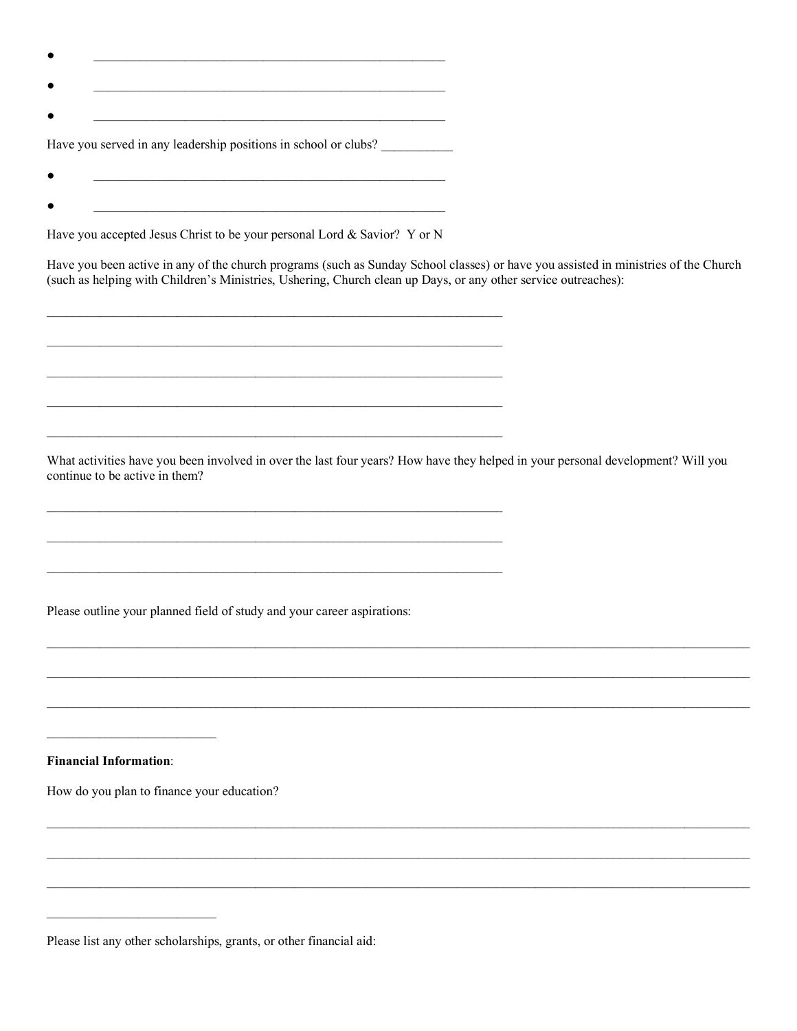| Have you served in any leadership positions in school or clubs? |
|-----------------------------------------------------------------|

Have you accepted Jesus Christ to be your personal Lord & Savior? Y or N

Have you been active in any of the church programs (such as Sunday School classes) or have you assisted in ministries of the Church (such as helping with Children's Ministries, Ushering, Church clean up Days, or any other service outreaches):

What activities have you been involved in over the last four years? How have they helped in your personal development? Will you continue to be active in them?

Please outline your planned field of study and your career aspirations:

**Financial Information:** 

 $\bullet$ 

How do you plan to finance your education?

Please list any other scholarships, grants, or other financial aid: